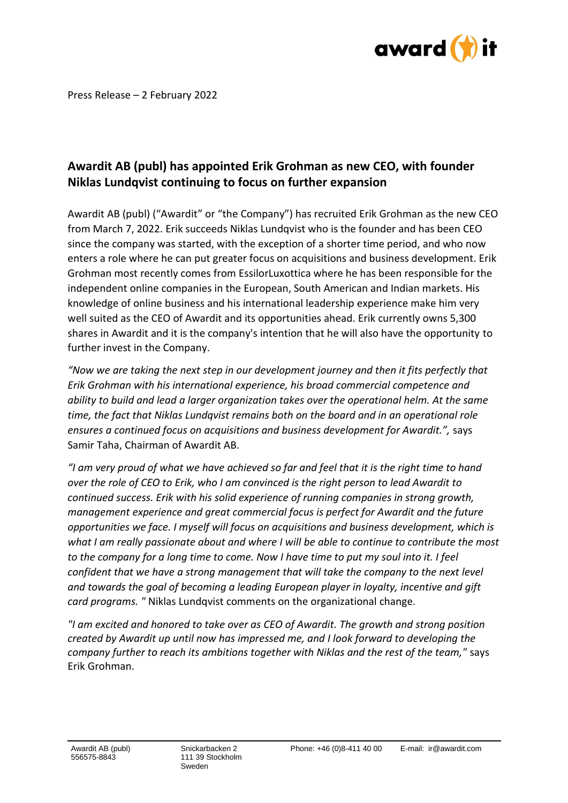

Press Release – 2 February 2022

## **Awardit AB (publ) has appointed Erik Grohman as new CEO, with founder Niklas Lundqvist continuing to focus on further expansion**

Awardit AB (publ) ("Awardit" or "the Company") has recruited Erik Grohman as the new CEO from March 7, 2022. Erik succeeds Niklas Lundqvist who is the founder and has been CEO since the company was started, with the exception of a shorter time period, and who now enters a role where he can put greater focus on acquisitions and business development. Erik Grohman most recently comes from EssilorLuxottica where he has been responsible for the independent online companies in the European, South American and Indian markets. His knowledge of online business and his international leadership experience make him very well suited as the CEO of Awardit and its opportunities ahead. Erik currently owns 5,300 shares in Awardit and it is the company's intention that he will also have the opportunity to further invest in the Company.

*"Now we are taking the next step in our development journey and then it fits perfectly that Erik Grohman with his international experience, his broad commercial competence and ability to build and lead a larger organization takes over the operational helm. At the same time, the fact that Niklas Lundqvist remains both on the board and in an operational role ensures a continued focus on acquisitions and business development for Awardit.",* says Samir Taha, Chairman of Awardit AB.

*"I am very proud of what we have achieved so far and feel that it is the right time to hand over the role of CEO to Erik, who I am convinced is the right person to lead Awardit to continued success. Erik with his solid experience of running companies in strong growth, management experience and great commercial focus is perfect for Awardit and the future opportunities we face. I myself will focus on acquisitions and business development, which is what I am really passionate about and where I will be able to continue to contribute the most to the company for a long time to come. Now I have time to put my soul into it. I feel confident that we have a strong management that will take the company to the next level and towards the goal of becoming a leading European player in loyalty, incentive and gift card programs. "* Niklas Lundqvist comments on the organizational change.

*"I am excited and honored to take over as CEO of Awardit. The growth and strong position created by Awardit up until now has impressed me, and I look forward to developing the company further to reach its ambitions together with Niklas and the rest of the team,"* says Erik Grohman.